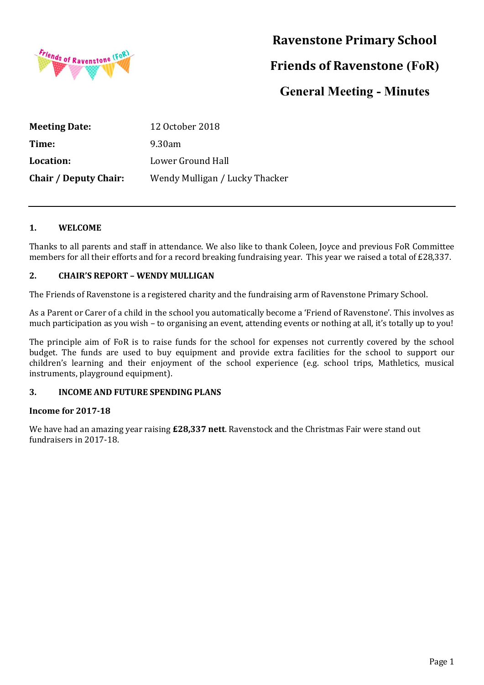

# **Ravenstone Primary School**

# **Friends of Ravenstone (FoR)**

# **General Meeting - Minutes**

| <b>Meeting Date:</b>         | 12 October 2018                |
|------------------------------|--------------------------------|
| Time:                        | 9.30am                         |
| Location:                    | Lower Ground Hall              |
| <b>Chair / Deputy Chair:</b> | Wendy Mulligan / Lucky Thacker |

### **1. WELCOME**

Thanks to all parents and staff in attendance. We also like to thank Coleen, Joyce and previous FoR Committee members for all their efforts and for a record breaking fundraising year. This year we raised a total of £28,337.

### **2. CHAIR'S REPORT – WENDY MULLIGAN**

The Friends of Ravenstone is a registered charity and the fundraising arm of Ravenstone Primary School.

As a Parent or Carer of a child in the school you automatically become a 'Friend of Ravenstone'. This involves as much participation as you wish – to organising an event, attending events or nothing at all, it's totally up to you!

The principle aim of FoR is to raise funds for the school for expenses not currently covered by the school budget. The funds are used to buy equipment and provide extra facilities for the school to support our children's learning and their enjoyment of the school experience (e.g. school trips, Mathletics, musical instruments, playground equipment).

#### **3. INCOME AND FUTURE SPENDING PLANS**

#### **Income for 2017-18**

We have had an amazing year raising **£28,337 nett**. Ravenstock and the Christmas Fair were stand out fundraisers in 2017-18.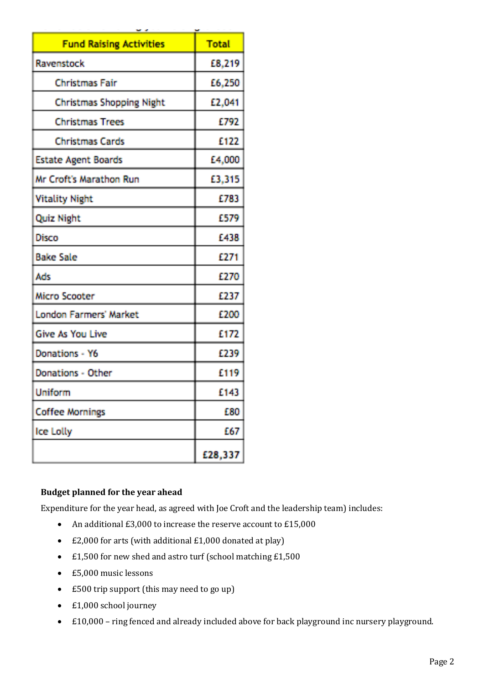| <b>Fund Raising Activities</b>  | <b>Total</b> |
|---------------------------------|--------------|
| Ravenstock                      | £8,219       |
| <b>Christmas Fair</b>           | £6,250       |
| <b>Christmas Shopping Night</b> | £2,041       |
| <b>Christmas Trees</b>          | E792         |
| <b>Christmas Cards</b>          | £122         |
| <b>Estate Agent Boards</b>      | £4,000       |
| Mr Croft's Marathon Run         | £3,315       |
| <b>Vitality Night</b>           | £783         |
| Quiz Night                      | £579         |
| Disco                           | 1438         |
| <b>Bake Sale</b>                | £271         |
| Ads                             | £270         |
| Micro Scooter                   | £237         |
| <b>London Farmers' Market</b>   | £200         |
| <b>Give As You Live</b>         | £172         |
| Donations - Y6                  | £239         |
| Donations - Other               | £119         |
| Uniform                         | E143         |
| <b>Coffee Mornings</b>          | £80          |
| Ice Lolly                       | 667          |
|                                 | £28,337      |

## **Budget planned for the year ahead**

Expenditure for the year head, as agreed with Joe Croft and the leadership team) includes:

- An additional  $£3,000$  to increase the reserve account to  $£15,000$
- $\cdot$  £2,000 for arts (with additional £1,000 donated at play)
- $\cdot$  £1,500 for new shed and astro turf (school matching £1,500
- $\cdot$  £5,000 music lessons
- £500 trip support (this may need to go up)
- £1,000 school journey
- £10,000 ring fenced and already included above for back playground inc nursery playground.